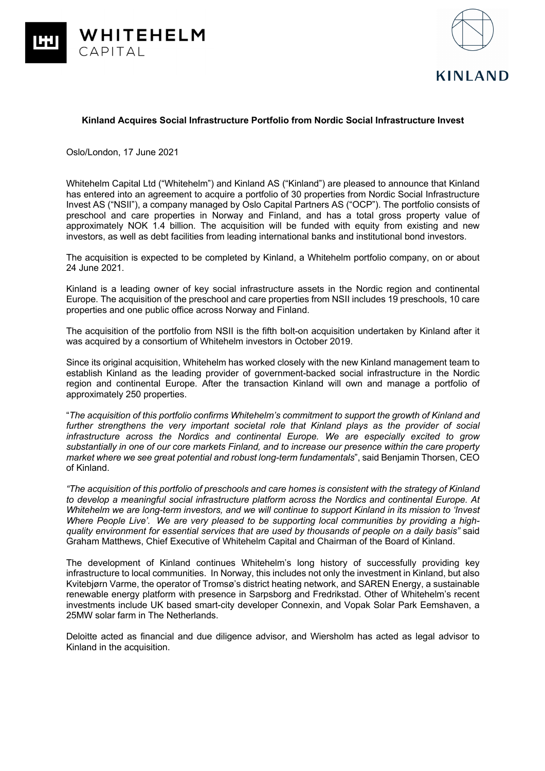



## **Kinland Acquires Social Infrastructure Portfolio from Nordic Social Infrastructure Invest**

Oslo/London, 17 June 2021

Whitehelm Capital Ltd ("Whitehelm") and Kinland AS ("Kinland") are pleased to announce that Kinland has entered into an agreement to acquire a portfolio of 30 properties from Nordic Social Infrastructure Invest AS ("NSII"), a company managed by Oslo Capital Partners AS ("OCP"). The portfolio consists of preschool and care properties in Norway and Finland, and has a total gross property value of approximately NOK 1.4 billion. The acquisition will be funded with equity from existing and new investors, as well as debt facilities from leading international banks and institutional bond investors.

The acquisition is expected to be completed by Kinland, a Whitehelm portfolio company, on or about 24 June 2021.

Kinland is a leading owner of key social infrastructure assets in the Nordic region and continental Europe. The acquisition of the preschool and care properties from NSII includes 19 preschools, 10 care properties and one public office across Norway and Finland.

The acquisition of the portfolio from NSII is the fifth bolt-on acquisition undertaken by Kinland after it was acquired by a consortium of Whitehelm investors in October 2019.

Since its original acquisition, Whitehelm has worked closely with the new Kinland management team to establish Kinland as the leading provider of government-backed social infrastructure in the Nordic region and continental Europe. After the transaction Kinland will own and manage a portfolio of approximately 250 properties.

"*The acquisition of this portfolio confirms Whitehelm's commitment to support the growth of Kinland and further strengthens the very important societal role that Kinland plays as the provider of social infrastructure across the Nordics and continental Europe. We are especially excited to grow substantially in one of our core markets Finland, and to increase our presence within the care property market where we see great potential and robust long-term fundamentals*", said Benjamin Thorsen, CEO of Kinland.

*"The acquisition of this portfolio of preschools and care homes is consistent with the strategy of Kinland to develop a meaningful social infrastructure platform across the Nordics and continental Europe. At Whitehelm we are long-term investors, and we will continue to support Kinland in its mission to 'Invest Where People Live'. We are very pleased to be supporting local communities by providing a highquality environment for essential services that are used by thousands of people on a daily basis"* said Graham Matthews, Chief Executive of Whitehelm Capital and Chairman of the Board of Kinland.

The development of Kinland continues Whitehelm's long history of successfully providing key infrastructure to local communities. In Norway, this includes not only the investment in Kinland, but also Kvitebjørn Varme, the operator of Tromsø's district heating network, and SAREN Energy, a sustainable renewable energy platform with presence in Sarpsborg and Fredrikstad. Other of Whitehelm's recent investments include UK based smart-city developer Connexin, and Vopak Solar Park Eemshaven, a 25MW solar farm in The Netherlands.

Deloitte acted as financial and due diligence advisor, and Wiersholm has acted as legal advisor to Kinland in the acquisition.